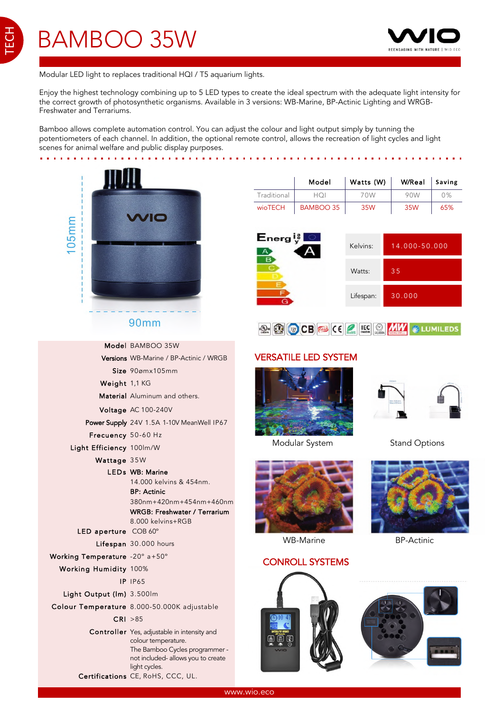TECH



. . . .

Modular LED light to replaces traditional HQI / T5 aquarium lights.

Enjoy the highest technology combining up to 5 LED types to create the ideal spectrum with the adequate light intensity for the correct growth of photosynthetic organisms. Available in 3 versions: WB-Marine, BP-Actinic Lighting and WRGB-Freshwater and Terrariums.

Bamboo allows complete automation control. You can adjust the colour and light output simply by tunning the potentiometers of each channel. In addition, the optional remote control, allows the recreation of light cycles and light scenes for animal welfare and public display purposes.



#### **90mm**

|                                | Model BAMBOO 35W                                                     |
|--------------------------------|----------------------------------------------------------------------|
|                                | Versions WB-Marine / BP-Actinic / WRGB                               |
|                                | Size 90ømx105mm                                                      |
| Weight 1,1 KG                  |                                                                      |
|                                | <b>Material</b> Aluminum and others.                                 |
|                                | Voltage AC 100-240V                                                  |
|                                | Power Supply 24V 1.5A 1-10V MeanWell IP67                            |
| Frecuency 50-60 Hz             |                                                                      |
| Light Efficiency 100lm/W       |                                                                      |
| Wattage 35W                    |                                                                      |
|                                | <b>LEDs</b> WB: Marine                                               |
|                                | 14.000 kelvins & 454nm.                                              |
|                                | <b>BP: Actinic</b>                                                   |
|                                | 380nm+420nm+454nm+460nm                                              |
|                                | WRGB: Freshwater / Terrarium                                         |
|                                | 8.000 kelvins+RGB                                                    |
| LED aperture COB 60°           |                                                                      |
|                                | Lifespan 30.000 hours                                                |
| Working Temperature -20° a+50° |                                                                      |
| <b>Working Humidity 100%</b>   |                                                                      |
|                                | <b>IP IP65</b>                                                       |
| Light Output (Im) 3.500lm      |                                                                      |
|                                | Colour Temperature 8.000-50.000K adjustable                          |
|                                | CRI > 85                                                             |
|                                | Controller Yes, adjustable in intensity and<br>colour temperature.   |
|                                | The Bamboo Cycles programmer -<br>not included- allows you to create |
|                                | light cycles.<br>Certifications CE, RoHS, CCC, UL.                   |
|                                |                                                                      |

|                | Model     | Watts (W) | W/Real Saving |     |
|----------------|-----------|-----------|---------------|-----|
| Traditional    | HOI       | 70W       | 90W           | 0%  |
| <b>wioTECH</b> | BAMBOO 35 | 35W       | 35W           | 65% |

and a series of the contract of the con-





# VERSATILE LED SYSTEM



Modular System Stand Options





WB-Marine BP-Actinic

#### CONROLL SYSTEMS



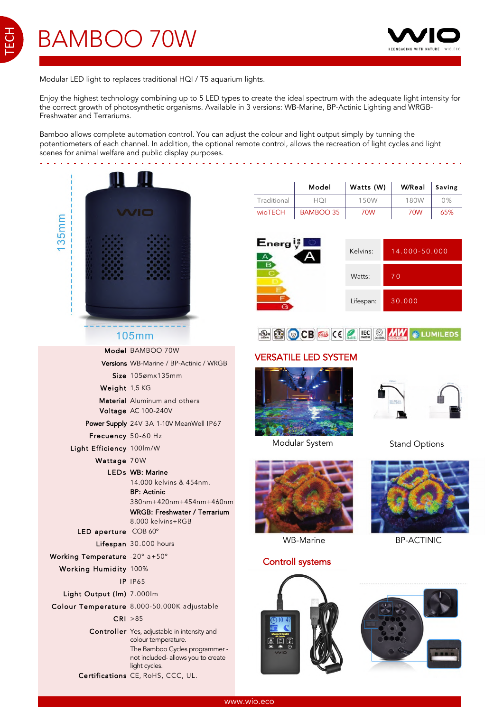TECH



 $\sim 1000$  km s  $^{-1}$ 

Modular LED light to replaces traditional HQI / T5 aquarium lights.

Enjoy the highest technology combining up to 5 LED types to create the ideal spectrum with the adequate light intensity for the correct growth of photosynthetic organisms. Available in 3 versions: WB-Marine, BP-Actinic Lighting and WRGB-Freshwater and Terrariums.

Bamboo allows complete automation control. You can adjust the colour and light output simply by tunning the potentiometers of each channel. In addition, the optional remote control, allows the recreation of light cycles and light scenes for animal welfare and public display purposes.

|                                |                                                                                                                                                                                                  |                                                | Model                       | Watts (W) |     |
|--------------------------------|--------------------------------------------------------------------------------------------------------------------------------------------------------------------------------------------------|------------------------------------------------|-----------------------------|-----------|-----|
|                                |                                                                                                                                                                                                  | Traditional                                    | HQI                         | 150W      |     |
|                                | WIO                                                                                                                                                                                              | wioTECH                                        | <b>BAMBOO 35</b>            | 70W       |     |
| $135$ mm                       |                                                                                                                                                                                                  | $\mathsf{E}_{\mathsf{nerg}}$ is $\blacksquare$ |                             |           |     |
|                                |                                                                                                                                                                                                  |                                                |                             | Kelvins:  | 14  |
|                                |                                                                                                                                                                                                  |                                                |                             | Watts:    | 70  |
|                                |                                                                                                                                                                                                  |                                                |                             | Lifespan: | 30  |
|                                | <b>105mm</b>                                                                                                                                                                                     |                                                |                             |           |     |
|                                | Model BAMBOO 70W                                                                                                                                                                                 |                                                | <b>VERSATILE LED SYSTEM</b> |           |     |
|                                | Versions WB-Marine / BP-Actinic / WRGB                                                                                                                                                           |                                                |                             |           |     |
|                                | Size 105ømx135mm                                                                                                                                                                                 |                                                |                             |           |     |
| Weight 1,5 KG                  |                                                                                                                                                                                                  |                                                |                             |           |     |
|                                | <b>Material</b> Aluminum and others                                                                                                                                                              |                                                |                             |           |     |
|                                | Voltage AC 100-240V<br>Power Supply 24V 3A 1-10V MeanWell IP67                                                                                                                                   |                                                |                             |           |     |
| Frecuency 50-60 Hz             |                                                                                                                                                                                                  |                                                |                             |           |     |
| Light Efficiency 100lm/W       |                                                                                                                                                                                                  |                                                | Modular System              |           | Sta |
| Wattage 70W                    |                                                                                                                                                                                                  |                                                |                             |           |     |
|                                | <b>LEDs</b> WB: Marine<br>14.000 kelvins & 454nm.<br><b>BP: Actinic</b><br>380nm+420nm+454nm+460nm<br>WRGB: Freshwater / Terrarium<br>8.000 kelvins+RGB                                          |                                                |                             |           |     |
| LED aperture COB 60°           |                                                                                                                                                                                                  |                                                |                             |           |     |
|                                | Lifespan 30.000 hours                                                                                                                                                                            |                                                | <b>WB-Marine</b>            |           | в   |
| Working Temperature -20° a+50° |                                                                                                                                                                                                  |                                                | <b>Controll systems</b>     |           |     |
| Working Humidity 100%          |                                                                                                                                                                                                  |                                                |                             |           |     |
|                                | <b>IP IP65</b>                                                                                                                                                                                   |                                                |                             |           |     |
| Light Output (lm) 7.000lm      |                                                                                                                                                                                                  |                                                |                             |           |     |
|                                | Colour Temperature 8.000-50.000K adjustable                                                                                                                                                      |                                                |                             |           |     |
|                                | CRI > 85                                                                                                                                                                                         |                                                |                             |           |     |
|                                | Controller Yes, adjustable in intensity and<br>colour temperature.<br>The Bamboo Cycles programmer -<br>not included- allows you to create<br>light cycles.<br>Certifications CE, RoHS, CCC, UL. | M <sub>1</sub>                                 |                             |           |     |
|                                |                                                                                                                                                                                                  |                                                |                             |           |     |

|                | Model     | Watts (W) | W/Real Saving |     |
|----------------|-----------|-----------|---------------|-----|
| Traditional    |           | 150W      | 180W          | 0%  |
| <b>wioTECH</b> | BAMBOO 35 | 70W       | 70W           | 65% |

| $\mathsf{Energy}_\mathsf{y}^\natural$ | Kelvins:  | 14.000-50.000 |
|---------------------------------------|-----------|---------------|
|                                       | Watts:    | 70.           |
|                                       | Lifespan: | 30.000        |



# VERSATILE LED SYSTEM



Modular System Stand Options





WB-Marine BP-ACTINIC